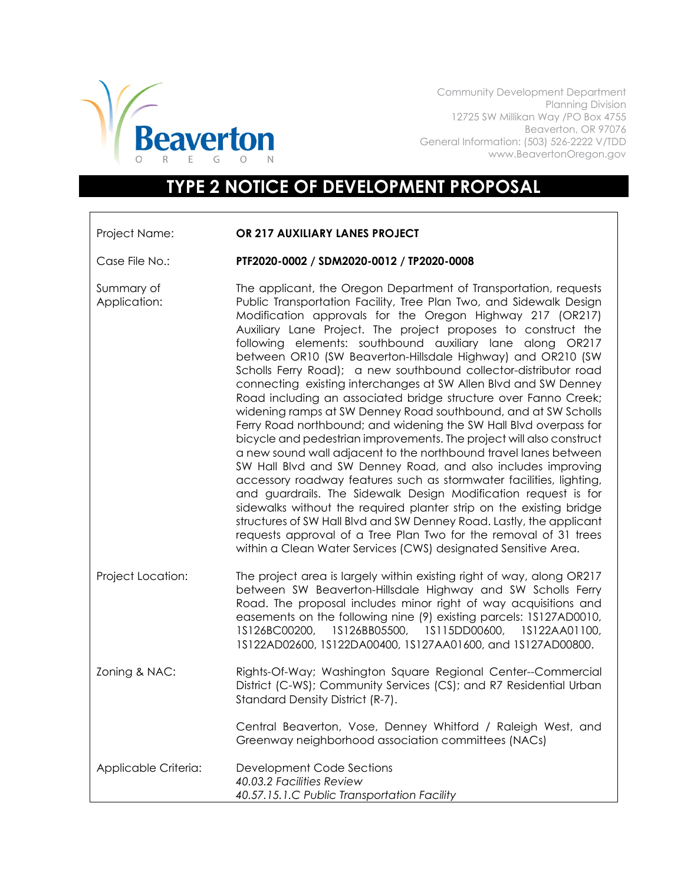

Community Development Department Planning Division 12725 SW Millikan Way /PO Box 4755 Beaverton, OR 97076 General Information: (503) 526-2222 V/TDD www.BeavertonOregon.gov

## **TYPE 2 NOTICE OF DEVELOPMENT PROPOSAL**

| Project Name: | OR 217 AUXILIARY LANES PROJECT |
|---------------|--------------------------------|
|               |                                |

Case File No.: **PTF2020-0002 / SDM2020-0012 / TP2020-0008**

Summary of Application: The applicant, the Oregon Department of Transportation, requests Public Transportation Facility, Tree Plan Two, and Sidewalk Design Modification approvals for the Oregon Highway 217 (OR217) Auxiliary Lane Project. The project proposes to construct the following elements: southbound auxiliary lane along OR217 between OR10 (SW Beaverton-Hillsdale Highway) and OR210 (SW Scholls Ferry Road); a new southbound collector-distributor road connecting existing interchanges at SW Allen Blvd and SW Denney Road including an associated bridge structure over Fanno Creek; widening ramps at SW Denney Road southbound, and at SW Scholls Ferry Road northbound; and widening the SW Hall Blvd overpass for bicycle and pedestrian improvements. The project will also construct a new sound wall adjacent to the northbound travel lanes between SW Hall Blvd and SW Denney Road, and also includes improving accessory roadway features such as stormwater facilities, lighting, and guardrails. The Sidewalk Design Modification request is for sidewalks without the required planter strip on the existing bridge structures of SW Hall Blvd and SW Denney Road. Lastly, the applicant requests approval of a Tree Plan Two for the removal of 31 trees within a Clean Water Services (CWS) designated Sensitive Area. Project Location: The project area is largely within existing right of way, along OR217 between SW Beaverton-Hillsdale Highway and SW Scholls Ferry

- Road. The proposal includes minor right of way acquisitions and easements on the following nine (9) existing parcels: 1S127AD0010, 1S126BC00200, 1S126BB05500, 1S115DD00600, 1S122AA01100, 1S122AD02600, 1S122DA00400, 1S127AA01600, and 1S127AD00800. Zoning & NAC: Rights-Of-Way; Washington Square Regional Center--Commercial District (C-WS); Community Services (CS); and R7 Residential Urban Standard Density District (R-7). Central Beaverton, Vose, Denney Whitford / Raleigh West, and Greenway neighborhood association committees (NACs) Applicable Criteria: Development Code Sections
- *40.03.2 Facilities Review 40.57.15.1.C Public Transportation Facility*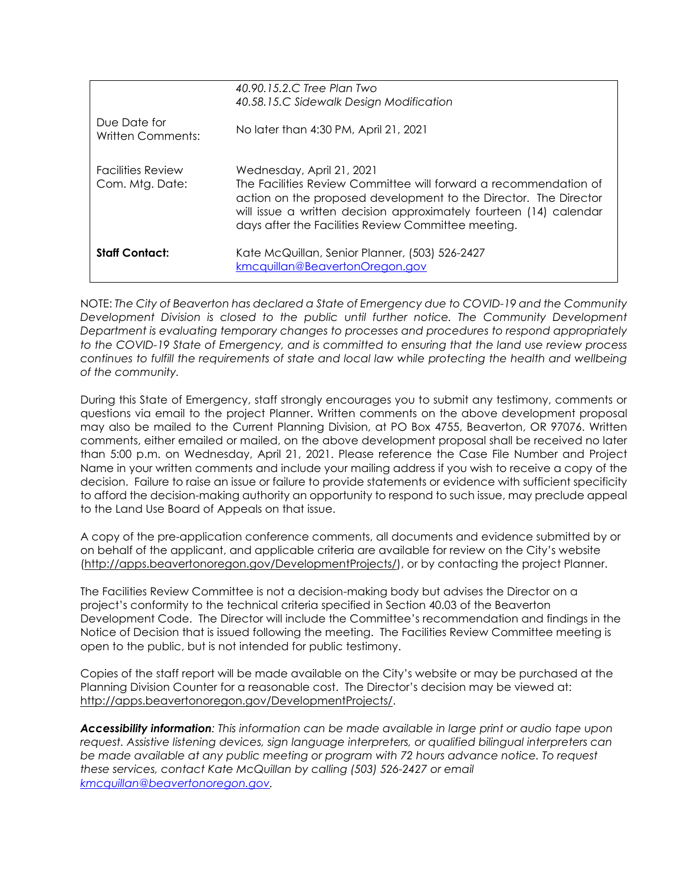| <b>Staff Contact:</b>                       | Kate McQuillan, Senior Planner, (503) 526-2427<br>kmcquillan@BeavertonOregon.gov                                                                                                                                                                                                               |
|---------------------------------------------|------------------------------------------------------------------------------------------------------------------------------------------------------------------------------------------------------------------------------------------------------------------------------------------------|
| <b>Facilities Review</b><br>Com. Mtg. Date: | Wednesday, April 21, 2021<br>The Facilities Review Committee will forward a recommendation of<br>action on the proposed development to the Director. The Director<br>will issue a written decision approximately fourteen (14) calendar<br>days after the Facilities Review Committee meeting. |
| Due Date for<br>Written Comments:           | No later than 4:30 PM, April 21, 2021                                                                                                                                                                                                                                                          |
|                                             | 40.90.15.2.C Tree Plan Two<br>40.58.15.C Sidewalk Design Modification                                                                                                                                                                                                                          |

NOTE: *The City of Beaverton has declared a State of Emergency due to COVID-19 and the Community Development Division is closed to the public until further notice. The Community Development Department is evaluating temporary changes to processes and procedures to respond appropriately to the COVID-19 State of Emergency, and is committed to ensuring that the land use review process continues to fulfill the requirements of state and local law while protecting the health and wellbeing of the community.* 

During this State of Emergency, staff strongly encourages you to submit any testimony, comments or questions via email to the project Planner. Written comments on the above development proposal may also be mailed to the Current Planning Division, at PO Box 4755, Beaverton, OR 97076. Written comments, either emailed or mailed, on the above development proposal shall be received no later than 5:00 p.m. on Wednesday, April 21, 2021. Please reference the Case File Number and Project Name in your written comments and include your mailing address if you wish to receive a copy of the decision. Failure to raise an issue or failure to provide statements or evidence with sufficient specificity to afford the decision-making authority an opportunity to respond to such issue, may preclude appeal to the Land Use Board of Appeals on that issue.

A copy of the pre-application conference comments, all documents and evidence submitted by or on behalf of the applicant, and applicable criteria are available for review on the City's website [\(http://apps.beavertonoregon.gov/DevelopmentProjects/\)](http://apps.beavertonoregon.gov/DevelopmentProjects/), or by contacting the project Planner.

The Facilities Review Committee is not a decision-making body but advises the Director on a project's conformity to the technical criteria specified in Section 40.03 of the Beaverton Development Code. The Director will include the Committee's recommendation and findings in the Notice of Decision that is issued following the meeting. The Facilities Review Committee meeting is open to the public, but is not intended for public testimony.

Copies of the staff report will be made available on the City's website or may be purchased at the Planning Division Counter for a reasonable cost. The Director's decision may be viewed at: [http://apps.beavertonoregon.gov/DevelopmentProjects/.](http://apps.beavertonoregon.gov/DevelopmentProjects/)

*Accessibility information: This information can be made available in large print or audio tape upon request. Assistive listening devices, sign language interpreters, or qualified bilingual interpreters can be made available at any public meeting or program with 72 hours advance notice. To request these services, contact Kate McQuillan by calling (503) 526-2427 or email [kmcquillan@beavertonoregon.gov.](mailto:kmcquillan@beavertonoregon.gov)*